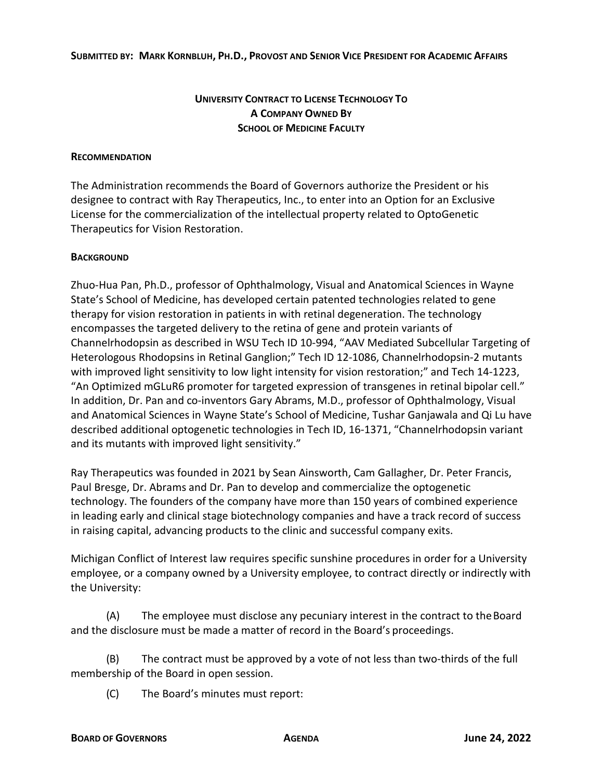## **UNIVERSITY CONTRACT TO LICENSE TECHNOLOGY TO A COMPANY OWNED BY SCHOOL OF MEDICINE FACULTY**

## **RECOMMENDATION**

The Administration recommends the Board of Governors authorize the President or his designee to contract with Ray Therapeutics, Inc., to enter into an Option for an Exclusive License for the commercialization of the intellectual property related to OptoGenetic Therapeutics for Vision Restoration.

## **BACKGROUND**

Zhuo-Hua Pan, Ph.D., professor of Ophthalmology, Visual and Anatomical Sciences in Wayne State's School of Medicine, has developed certain patented technologies related to gene therapy for vision restoration in patients in with retinal degeneration. The technology encompasses the targeted delivery to the retina of gene and protein variants of Channelrhodopsin as described in WSU Tech ID 10-994, "AAV Mediated Subcellular Targeting of Heterologous Rhodopsins in Retinal Ganglion;" Tech ID 12-1086, Channelrhodopsin-2 mutants with improved light sensitivity to low light intensity for vision restoration;" and Tech 14-1223, "An Optimized mGLuR6 promoter for targeted expression of transgenes in retinal bipolar cell." In addition, Dr. Pan and co-inventors Gary Abrams, M.D., professor of Ophthalmology, Visual and Anatomical Sciences in Wayne State's School of Medicine, Tushar Ganjawala and Qi Lu have described additional optogenetic technologies in Tech ID, 16-1371, "Channelrhodopsin variant and its mutants with improved light sensitivity."

Ray Therapeutics was founded in 2021 by Sean Ainsworth, Cam Gallagher, Dr. Peter Francis, Paul Bresge, Dr. Abrams and Dr. Pan to develop and commercialize the optogenetic technology. The founders of the company have more than 150 years of combined experience in leading early and clinical stage biotechnology companies and have a track record of success in raising capital, advancing products to the clinic and successful company exits.

Michigan Conflict of Interest law requires specific sunshine procedures in order for a University employee, or a company owned by a University employee, to contract directly or indirectly with the University:

(A) The employee must disclose any pecuniary interest in the contract to theBoard and the disclosure must be made a matter of record in the Board's proceedings.

(B) The contract must be approved by a vote of not less than two-thirds of the full membership of the Board in open session.

(C) The Board's minutes must report: